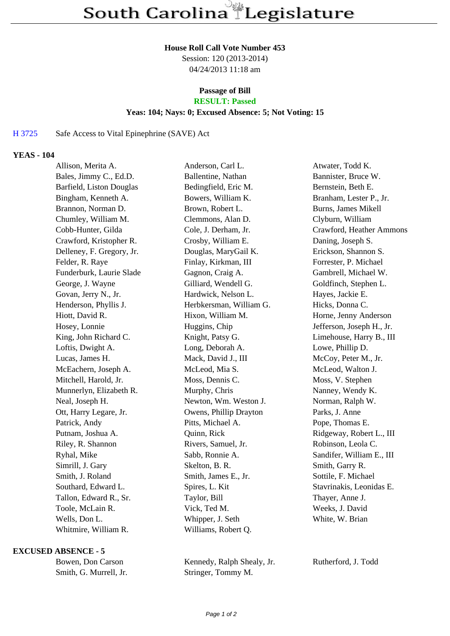#### **House Roll Call Vote Number 453**

Session: 120 (2013-2014) 04/24/2013 11:18 am

# **Passage of Bill**

## **RESULT: Passed**

### **Yeas: 104; Nays: 0; Excused Absence: 5; Not Voting: 15**

#### H 3725 Safe Access to Vital Epinephrine (SAVE) Act

#### **YEAS - 104**

| Allison, Merita A.        | Anderson, Carl L.       | Atwater, Todd K.           |
|---------------------------|-------------------------|----------------------------|
| Bales, Jimmy C., Ed.D.    | Ballentine, Nathan      | Bannister, Bruce W.        |
| Barfield, Liston Douglas  | Bedingfield, Eric M.    | Bernstein, Beth E.         |
| Bingham, Kenneth A.       | Bowers, William K.      | Branham, Lester P., Jr.    |
| Brannon, Norman D.        | Brown, Robert L.        | <b>Burns, James Mikell</b> |
| Chumley, William M.       | Clemmons, Alan D.       | Clyburn, William           |
| Cobb-Hunter, Gilda        | Cole, J. Derham, Jr.    | Crawford, Heather Ammons   |
| Crawford, Kristopher R.   | Crosby, William E.      | Daning, Joseph S.          |
| Delleney, F. Gregory, Jr. | Douglas, MaryGail K.    | Erickson, Shannon S.       |
| Felder, R. Raye           | Finlay, Kirkman, III    | Forrester, P. Michael      |
| Funderburk, Laurie Slade  | Gagnon, Craig A.        | Gambrell, Michael W.       |
| George, J. Wayne          | Gilliard, Wendell G.    | Goldfinch, Stephen L.      |
| Govan, Jerry N., Jr.      | Hardwick, Nelson L.     | Hayes, Jackie E.           |
| Henderson, Phyllis J.     | Herbkersman, William G. | Hicks, Donna C.            |
| Hiott, David R.           | Hixon, William M.       | Horne, Jenny Anderson      |
| Hosey, Lonnie             | Huggins, Chip           | Jefferson, Joseph H., Jr.  |
| King, John Richard C.     | Knight, Patsy G.        | Limehouse, Harry B., III   |
| Loftis, Dwight A.         | Long, Deborah A.        | Lowe, Phillip D.           |
| Lucas, James H.           | Mack, David J., III     | McCoy, Peter M., Jr.       |
| McEachern, Joseph A.      | McLeod, Mia S.          | McLeod, Walton J.          |
| Mitchell, Harold, Jr.     | Moss, Dennis C.         | Moss, V. Stephen           |
| Munnerlyn, Elizabeth R.   | Murphy, Chris           | Nanney, Wendy K.           |
| Neal, Joseph H.           | Newton, Wm. Weston J.   | Norman, Ralph W.           |
| Ott, Harry Legare, Jr.    | Owens, Phillip Drayton  | Parks, J. Anne             |
| Patrick, Andy             | Pitts, Michael A.       | Pope, Thomas E.            |
| Putnam, Joshua A.         | Quinn, Rick             | Ridgeway, Robert L., III   |
| Riley, R. Shannon         | Rivers, Samuel, Jr.     | Robinson, Leola C.         |
| Ryhal, Mike               | Sabb, Ronnie A.         | Sandifer, William E., III  |
| Simrill, J. Gary          | Skelton, B. R.          | Smith, Garry R.            |
| Smith, J. Roland          | Smith, James E., Jr.    | Sottile, F. Michael        |
| Southard, Edward L.       | Spires, L. Kit          | Stavrinakis, Leonidas E.   |
| Tallon, Edward R., Sr.    | Taylor, Bill            | Thayer, Anne J.            |
| Toole, McLain R.          | Vick, Ted M.            | Weeks, J. David            |
| Wells, Don L.             | Whipper, J. Seth        | White, W. Brian            |
| Whitmire, William R.      | Williams, Robert Q.     |                            |

#### **EXCUSED ABSENCE - 5**

| Bowen, Don Carson      |  |
|------------------------|--|
| Smith, G. Murrell, Jr. |  |

Kennedy, Ralph Shealy, Jr. Rutherford, J. Todd r. Stringer, Tommy M.